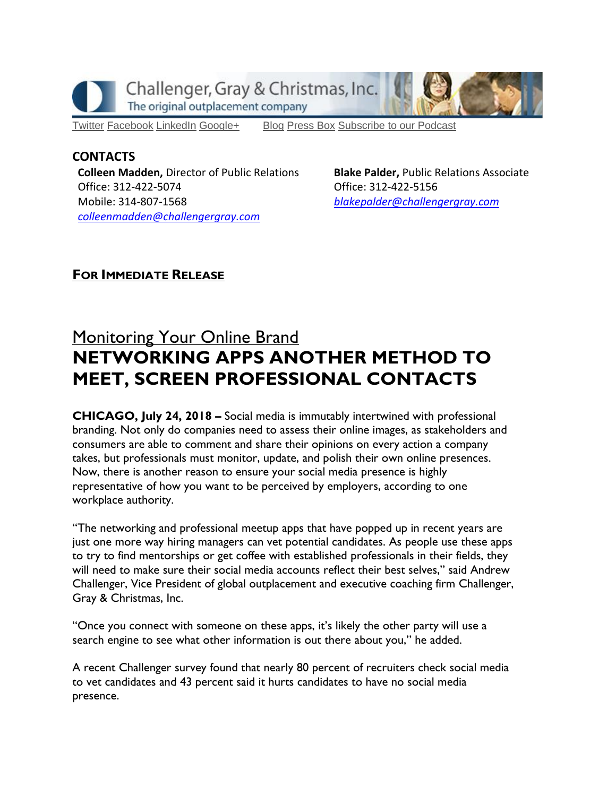

[Twitter](https://twitter.com/#!/ChallengerGray) [Facebook](https://www.facebook.com/ChallengerGray) [LinkedIn](http://www.linkedin.com/company/28264?trk=tyah) [Google+](https://plus.google.com/b/114363499979264115698/114363499979264115698) [Blog](http://www.challengergray.com/press/blog) [Press](http://www.challengergray.com/press/press-releases) Box [Subscribe](https://itunes.apple.com/us/podcast/challenger-podcast-hr-passport/id1155541697?mt=2) to our Podcast

## **CONTACTS**

**Colleen Madden,** Director of Public Relations Office: 312-422-5074 Mobile: 314-807-1568 *[colleenmadden@challengergray.com](mailto:colleenmadden@challengergray.com)* 

**Blake Palder,** Public Relations Associate Office: 312-422-5156 *[blakepalder@challengergray.com](mailto:blakepalder@challengergray.com)*

## **FOR IMMEDIATE RELEASE**

## **Monitoring Your Online Brand NETWORKING APPS ANOTHER METHOD TO MEET, SCREEN PROFESSIONAL CONTACTS**

**CHICAGO, July 24, 2018 –** Social media is immutably intertwined with professional branding. Not only do companies need to assess their online images, as stakeholders and consumers are able to comment and share their opinions on every action a company takes, but professionals must monitor, update, and polish their own online presences. Now, there is another reason to ensure your social media presence is highly representative of how you want to be perceived by employers, according to one workplace authority.

"The networking and professional meetup apps that have popped up in recent years are just one more way hiring managers can vet potential candidates. As people use these apps to try to find mentorships or get coffee with established professionals in their fields, they will need to make sure their social media accounts reflect their best selves," said Andrew Challenger, Vice President of global outplacement and executive coaching firm Challenger, Gray & Christmas, Inc.

"Once you connect with someone on these apps, it's likely the other party will use a search engine to see what other information is out there about you," he added.

A recent Challenger survey found that nearly 80 percent of recruiters check social media to vet candidates and 43 percent said it hurts candidates to have no social media presence.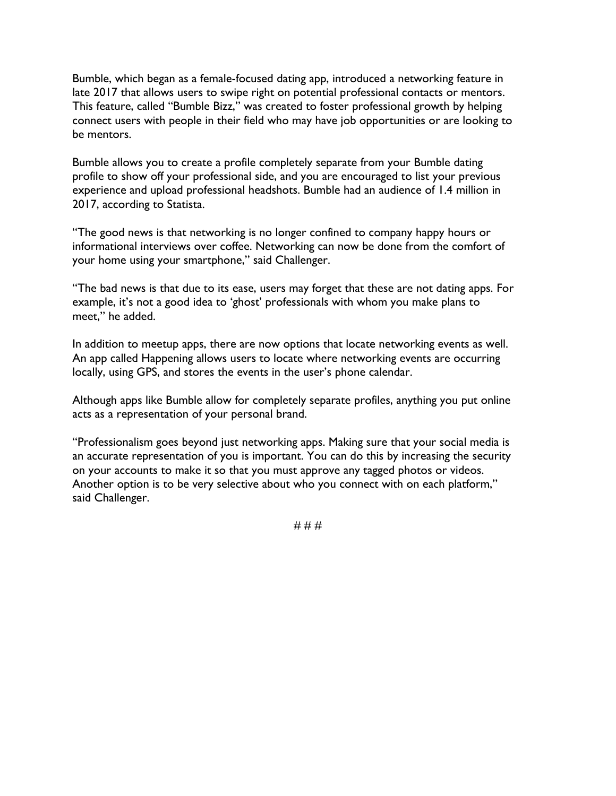Bumble, which began as a female-focused dating app, introduced a networking feature in late 2017 that allows users to swipe right on potential professional contacts or mentors. This feature, called "Bumble Bizz," was created to foster professional growth by helping connect users with people in their field who may have job opportunities or are looking to be mentors.

Bumble allows you to create a profile completely separate from your Bumble dating profile to show off your professional side, and you are encouraged to list your previous experience and upload professional headshots. Bumble had an audience of 1.4 million in 2017, according to Statista.

"The good news is that networking is no longer confined to company happy hours or informational interviews over coffee. Networking can now be done from the comfort of your home using your smartphone," said Challenger.

"The bad news is that due to its ease, users may forget that these are not dating apps. For example, it's not a good idea to 'ghost' professionals with whom you make plans to meet," he added.

In addition to meetup apps, there are now options that locate networking events as well. An app called Happening allows users to locate where networking events are occurring locally, using GPS, and stores the events in the user's phone calendar.

Although apps like Bumble allow for completely separate profiles, anything you put online acts as a representation of your personal brand.

"Professionalism goes beyond just networking apps. Making sure that your social media is an accurate representation of you is important. You can do this by increasing the security on your accounts to make it so that you must approve any tagged photos or videos. Another option is to be very selective about who you connect with on each platform," said Challenger.

# # #